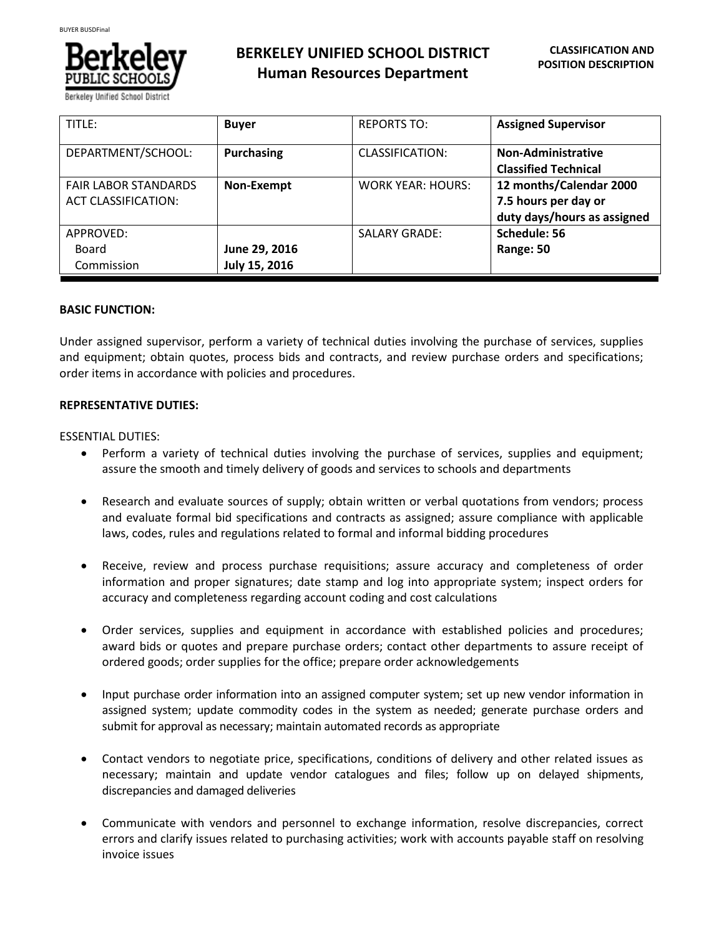

| TITLE:                      | <b>Buyer</b>      | <b>REPORTS TO:</b>       | <b>Assigned Supervisor</b>  |
|-----------------------------|-------------------|--------------------------|-----------------------------|
| DEPARTMENT/SCHOOL:          | <b>Purchasing</b> | CLASSIFICATION:          | Non-Administrative          |
|                             |                   |                          | <b>Classified Technical</b> |
| <b>FAIR LABOR STANDARDS</b> | Non-Exempt        | <b>WORK YEAR: HOURS:</b> | 12 months/Calendar 2000     |
| <b>ACT CLASSIFICATION:</b>  |                   |                          | 7.5 hours per day or        |
|                             |                   |                          | duty days/hours as assigned |
| APPROVED:                   |                   | <b>SALARY GRADE:</b>     | Schedule: 56                |
| Board                       | June 29, 2016     |                          | Range: 50                   |
| Commission                  | July 15, 2016     |                          |                             |

# **BASIC FUNCTION:**

Under assigned supervisor, perform a variety of technical duties involving the purchase of services, supplies and equipment; obtain quotes, process bids and contracts, and review purchase orders and specifications; order items in accordance with policies and procedures.

# **REPRESENTATIVE DUTIES:**

# ESSENTIAL DUTIES:

- Perform a variety of technical duties involving the purchase of services, supplies and equipment; assure the smooth and timely delivery of goods and services to schools and departments
- Research and evaluate sources of supply; obtain written or verbal quotations from vendors; process and evaluate formal bid specifications and contracts as assigned; assure compliance with applicable laws, codes, rules and regulations related to formal and informal bidding procedures
- Receive, review and process purchase requisitions; assure accuracy and completeness of order information and proper signatures; date stamp and log into appropriate system; inspect orders for accuracy and completeness regarding account coding and cost calculations
- Order services, supplies and equipment in accordance with established policies and procedures; award bids or quotes and prepare purchase orders; contact other departments to assure receipt of ordered goods; order supplies for the office; prepare order acknowledgements
- Input purchase order information into an assigned computer system; set up new vendor information in assigned system; update commodity codes in the system as needed; generate purchase orders and submit for approval as necessary; maintain automated records as appropriate
- Contact vendors to negotiate price, specifications, conditions of delivery and other related issues as necessary; maintain and update vendor catalogues and files; follow up on delayed shipments, discrepancies and damaged deliveries
- Communicate with vendors and personnel to exchange information, resolve discrepancies, correct errors and clarify issues related to purchasing activities; work with accounts payable staff on resolving invoice issues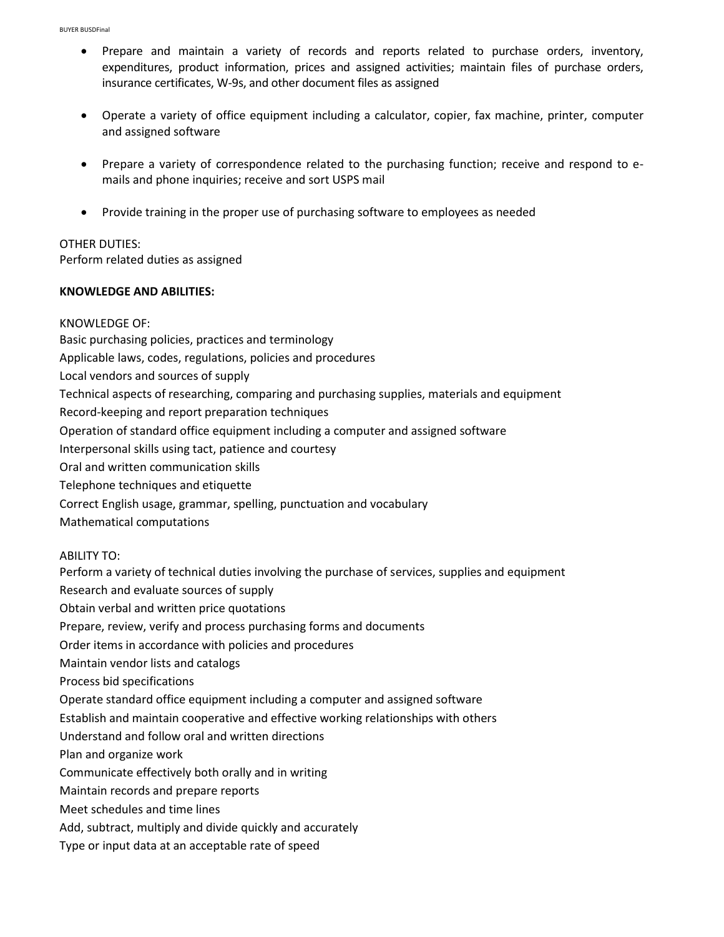- Prepare and maintain a variety of records and reports related to purchase orders, inventory, expenditures, product information, prices and assigned activities; maintain files of purchase orders, insurance certificates, W-9s, and other document files as assigned
- Operate a variety of office equipment including a calculator, copier, fax machine, printer, computer and assigned software
- Prepare a variety of correspondence related to the purchasing function; receive and respond to emails and phone inquiries; receive and sort USPS mail
- Provide training in the proper use of purchasing software to employees as needed

# OTHER DUTIES:

Perform related duties as assigned

# **KNOWLEDGE AND ABILITIES:**

# KNOWLEDGE OF:

Basic purchasing policies, practices and terminology

Applicable laws, codes, regulations, policies and procedures

Local vendors and sources of supply

Technical aspects of researching, comparing and purchasing supplies, materials and equipment

Record-keeping and report preparation techniques

Operation of standard office equipment including a computer and assigned software

Interpersonal skills using tact, patience and courtesy

Oral and written communication skills

Telephone techniques and etiquette

Correct English usage, grammar, spelling, punctuation and vocabulary

Mathematical computations

#### ABILITY TO:

Perform a variety of technical duties involving the purchase of services, supplies and equipment Research and evaluate sources of supply Obtain verbal and written price quotations Prepare, review, verify and process purchasing forms and documents Order items in accordance with policies and procedures Maintain vendor lists and catalogs Process bid specifications Operate standard office equipment including a computer and assigned software Establish and maintain cooperative and effective working relationships with others Understand and follow oral and written directions Plan and organize work Communicate effectively both orally and in writing Maintain records and prepare reports Meet schedules and time lines Add, subtract, multiply and divide quickly and accurately Type or input data at an acceptable rate of speed